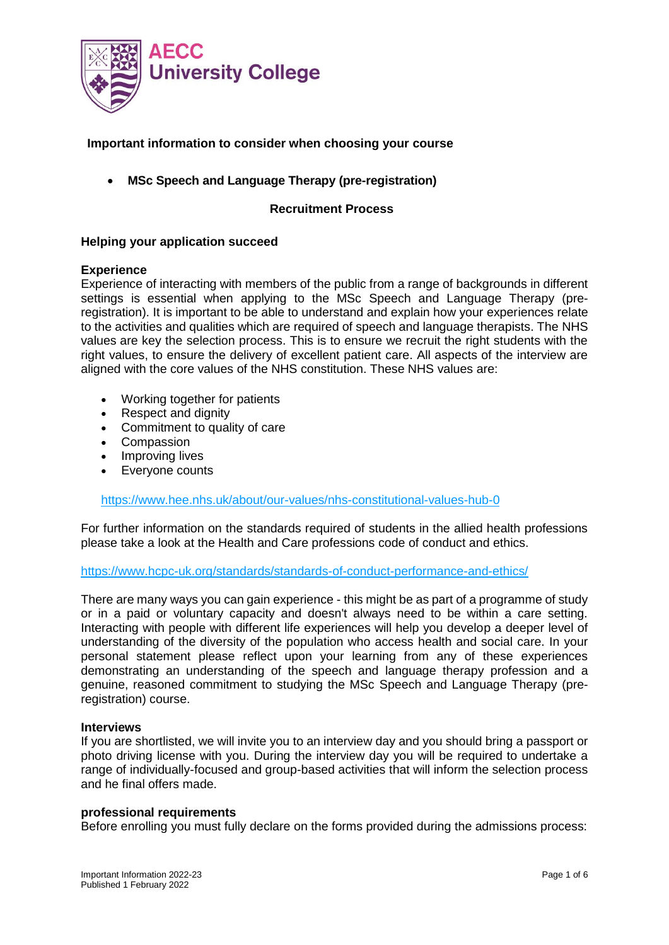

# **Important information to consider when choosing your course**

• **MSc Speech and Language Therapy (pre-registration)**

## **Recruitment Process**

### **Helping your application succeed**

### **Experience**

Experience of interacting with members of the public from a range of backgrounds in different settings is essential when applying to the MSc Speech and Language Therapy (preregistration). It is important to be able to understand and explain how your experiences relate to the activities and qualities which are required of speech and language therapists. The NHS values are key the selection process. This is to ensure we recruit the right students with the right values, to ensure the delivery of excellent patient care. All aspects of the interview are aligned with the core values of the NHS constitution. These NHS values are:

- Working together for patients
- Respect and dignity
- Commitment to quality of care
- Compassion
- Improving lives
- Everyone counts

<https://www.hee.nhs.uk/about/our-values/nhs-constitutional-values-hub-0>

For further information on the standards required of students in the allied health professions please take a look at the Health and Care professions code of conduct and ethics.

### <https://www.hcpc-uk.org/standards/standards-of-conduct-performance-and-ethics/>

There are many ways you can gain experience - this might be as part of a programme of study or in a paid or voluntary capacity and doesn't always need to be within a care setting. Interacting with people with different life experiences will help you develop a deeper level of understanding of the diversity of the population who access health and social care. In your personal statement please reflect upon your learning from any of these experiences demonstrating an understanding of the speech and language therapy profession and a genuine, reasoned commitment to studying the MSc Speech and Language Therapy (preregistration) course.

#### **Interviews**

If you are shortlisted, we will invite you to an interview day and you should bring a passport or photo driving license with you. During the interview day you will be required to undertake a range of individually-focused and group-based activities that will inform the selection process and he final offers made.

### **professional requirements**

Before enrolling you must fully declare on the forms provided during the admissions process: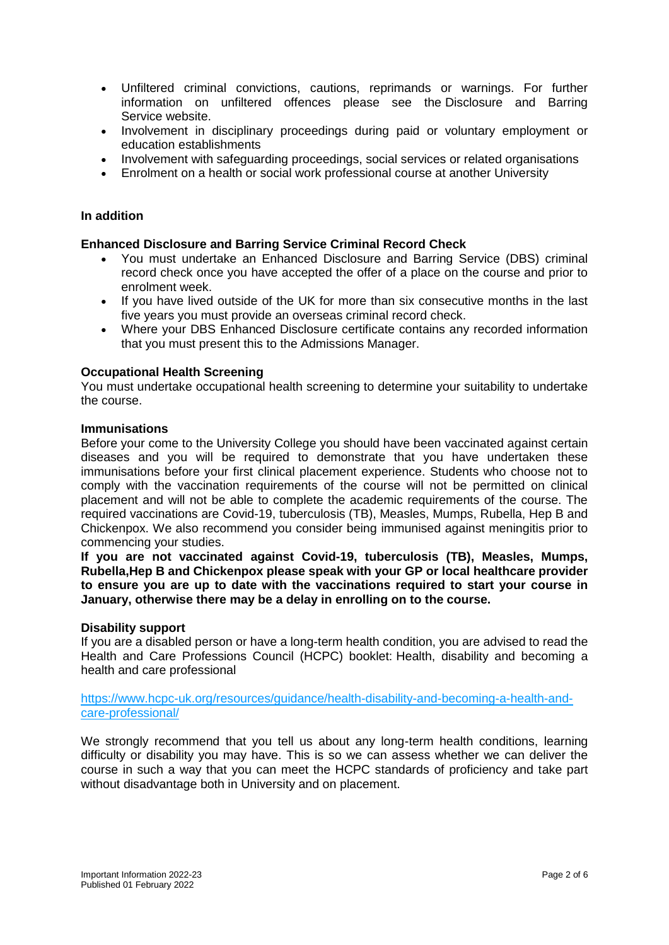- Unfiltered criminal convictions, cautions, reprimands or warnings. For further information on unfiltered offences please see the Disclosure and Barring Service website.
- Involvement in disciplinary proceedings during paid or voluntary employment or education establishments
- Involvement with safeguarding proceedings, social services or related organisations
- Enrolment on a health or social work professional course at another University

### **In addition**

### **Enhanced Disclosure and Barring Service Criminal Record Check**

- You must undertake an Enhanced Disclosure and Barring Service (DBS) criminal record check once you have accepted the offer of a place on the course and prior to enrolment week.
- If you have lived outside of the UK for more than six consecutive months in the last five years you must provide an overseas criminal record check.
- Where your DBS Enhanced Disclosure certificate contains any recorded information that you must present this to the Admissions Manager.

### **Occupational Health Screening**

You must undertake occupational health screening to determine your suitability to undertake the course.

#### **Immunisations**

Before your come to the University College you should have been vaccinated against certain diseases and you will be required to demonstrate that you have undertaken these immunisations before your first clinical placement experience. Students who choose not to comply with the vaccination requirements of the course will not be permitted on clinical placement and will not be able to complete the academic requirements of the course. The required vaccinations are Covid-19, tuberculosis (TB), Measles, Mumps, Rubella, Hep B and Chickenpox. We also recommend you consider being immunised against meningitis prior to commencing your studies.

**If you are not vaccinated against Covid-19, tuberculosis (TB), Measles, Mumps, Rubella,Hep B and Chickenpox please speak with your GP or local healthcare provider to ensure you are up to date with the vaccinations required to start your course in January, otherwise there may be a delay in enrolling on to the course.**

#### **Disability support**

If you are a disabled person or have a long-term health condition, you are advised to read the Health and Care Professions Council (HCPC) booklet: Health, disability and becoming a health and care professional

[https://www.hcpc-uk.org/resources/guidance/health-disability-and-becoming-a-health-and](https://www.hcpc-uk.org/resources/guidance/health-disability-and-becoming-a-health-and-care-professional/)[care-professional/](https://www.hcpc-uk.org/resources/guidance/health-disability-and-becoming-a-health-and-care-professional/)

We strongly recommend that you tell us about any long-term health conditions, learning difficulty or disability you may have. This is so we can assess whether we can deliver the course in such a way that you can meet the HCPC standards of proficiency and take part without disadvantage both in University and on placement.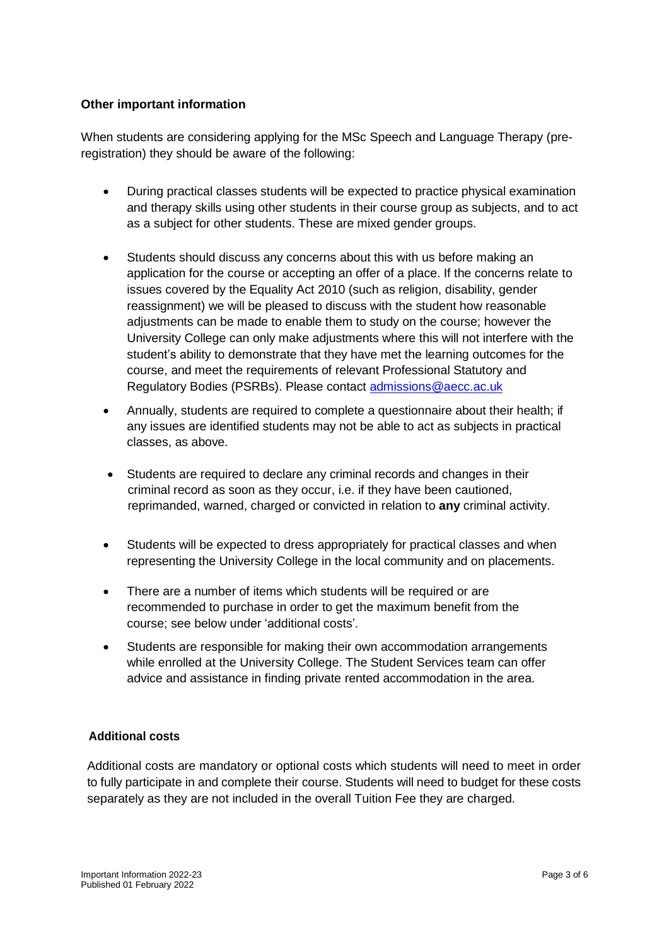## **Other important information**

When students are considering applying for the MSc Speech and Language Therapy (preregistration) they should be aware of the following:

- During practical classes students will be expected to practice physical examination and therapy skills using other students in their course group as subjects, and to act as a subject for other students. These are mixed gender groups.
- Students should discuss any concerns about this with us before making an application for the course or accepting an offer of a place. If the concerns relate to issues covered by the Equality Act 2010 (such as religion, disability, gender reassignment) we will be pleased to discuss with the student how reasonable adjustments can be made to enable them to study on the course; however the University College can only make adjustments where this will not interfere with the student's ability to demonstrate that they have met the learning outcomes for the course, and meet the requirements of relevant Professional Statutory and Regulatory Bodies (PSRBs). Please contact [admissions@aecc.ac.uk](mailto:admissions@aecc.ac.uk)
- Annually, students are required to complete a questionnaire about their health; if any issues are identified students may not be able to act as subjects in practical classes, as above.
- Students are required to declare any criminal records and changes in their criminal record as soon as they occur, i.e. if they have been cautioned, reprimanded, warned, charged or convicted in relation to **any** criminal activity.
- Students will be expected to dress appropriately for practical classes and when representing the University College in the local community and on placements.
- There are a number of items which students will be required or are recommended to purchase in order to get the maximum benefit from the course; see below under 'additional costs'.
- Students are responsible for making their own accommodation arrangements while enrolled at the University College. The Student Services team can offer advice and assistance in finding private rented accommodation in the area.

# **Additional costs**

Additional costs are mandatory or optional costs which students will need to meet in order to fully participate in and complete their course. Students will need to budget for these costs separately as they are not included in the overall Tuition Fee they are charged.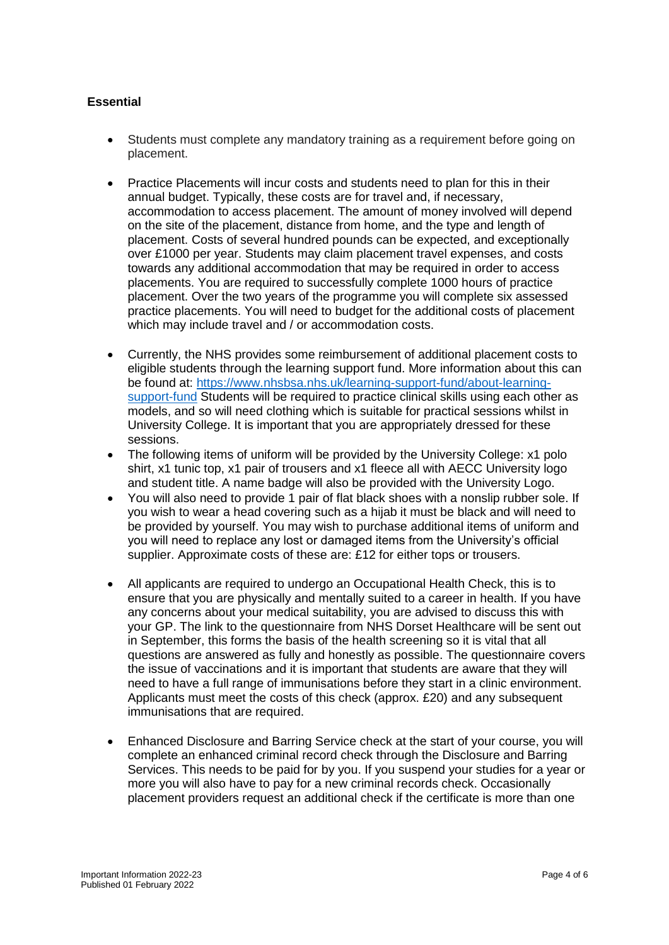# **Essential**

- Students must complete any mandatory training as a requirement before going on placement.
- Practice Placements will incur costs and students need to plan for this in their annual budget. Typically, these costs are for travel and, if necessary, accommodation to access placement. The amount of money involved will depend on the site of the placement, distance from home, and the type and length of placement. Costs of several hundred pounds can be expected, and exceptionally over £1000 per year. Students may claim placement travel expenses, and costs towards any additional accommodation that may be required in order to access placements. You are required to successfully complete 1000 hours of practice placement. Over the two years of the programme you will complete six assessed practice placements. You will need to budget for the additional costs of placement which may include travel and / or accommodation costs.
- Currently, the NHS provides some reimbursement of additional placement costs to eligible students through the learning support fund. More information about this can be found at: [https://www.nhsbsa.nhs.uk/learning-support-fund/about-learning](https://www.nhsbsa.nhs.uk/learning-support-fund/about-learning-support-fund)[support-fund](https://www.nhsbsa.nhs.uk/learning-support-fund/about-learning-support-fund) Students will be required to practice clinical skills using each other as models, and so will need clothing which is suitable for practical sessions whilst in University College. It is important that you are appropriately dressed for these sessions.
- The following items of uniform will be provided by the University College: x1 polo shirt, x1 tunic top, x1 pair of trousers and x1 fleece all with AECC University logo and student title. A name badge will also be provided with the University Logo.
- You will also need to provide 1 pair of flat black shoes with a nonslip rubber sole. If you wish to wear a head covering such as a hijab it must be black and will need to be provided by yourself. You may wish to purchase additional items of uniform and you will need to replace any lost or damaged items from the University's official supplier. Approximate costs of these are: £12 for either tops or trousers.
- All applicants are required to undergo an Occupational Health Check, this is to ensure that you are physically and mentally suited to a career in health. If you have any concerns about your medical suitability, you are advised to discuss this with your GP. The link to the questionnaire from NHS Dorset Healthcare will be sent out in September, this forms the basis of the health screening so it is vital that all questions are answered as fully and honestly as possible. The questionnaire covers the issue of vaccinations and it is important that students are aware that they will need to have a full range of immunisations before they start in a clinic environment. Applicants must meet the costs of this check (approx. £20) and any subsequent immunisations that are required.
- Enhanced Disclosure and Barring Service check at the start of your course, you will complete an enhanced criminal record check through the Disclosure and Barring Services. This needs to be paid for by you. If you suspend your studies for a year or more you will also have to pay for a new criminal records check. Occasionally placement providers request an additional check if the certificate is more than one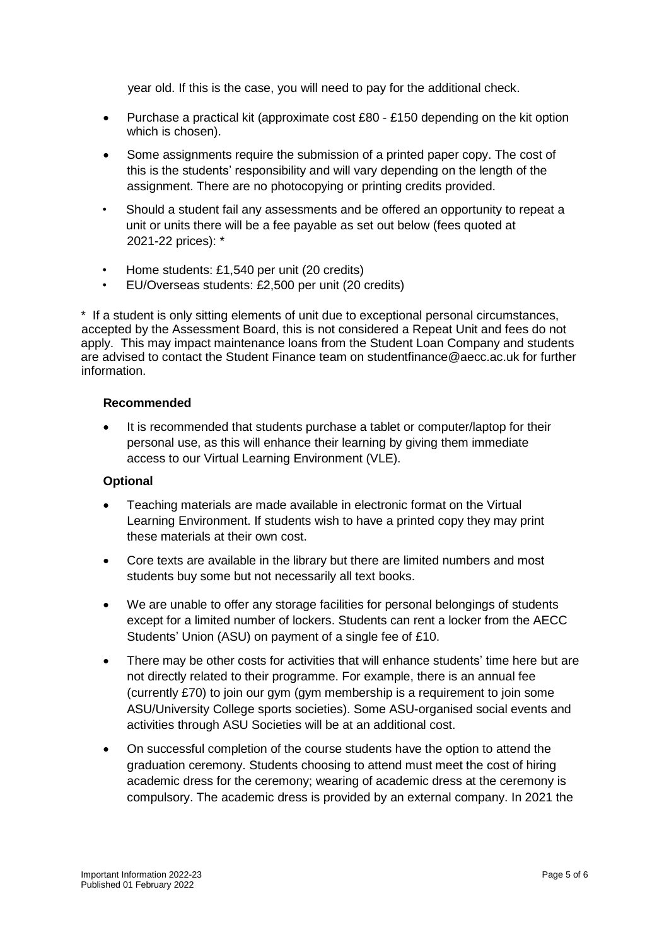year old. If this is the case, you will need to pay for the additional check.

- Purchase a practical kit (approximate cost £80 £150 depending on the kit option which is chosen).
- Some assignments require the submission of a printed paper copy. The cost of this is the students' responsibility and will vary depending on the length of the assignment. There are no photocopying or printing credits provided.
- Should a student fail any assessments and be offered an opportunity to repeat a unit or units there will be a fee payable as set out below (fees quoted at 2021-22 prices): \*
- Home students: £1,540 per unit (20 credits)
- EU/Overseas students: £2,500 per unit (20 credits)

\* If a student is only sitting elements of unit due to exceptional personal circumstances, accepted by the Assessment Board, this is not considered a Repeat Unit and fees do not apply. This may impact maintenance loans from the Student Loan Company and students are advised to contact the Student Finance team on studentfinance@aecc.ac.uk for further information.

## **Recommended**

• It is recommended that students purchase a tablet or computer/laptop for their personal use, as this will enhance their learning by giving them immediate access to our Virtual Learning Environment (VLE).

## **Optional**

- Teaching materials are made available in electronic format on the Virtual Learning Environment. If students wish to have a printed copy they may print these materials at their own cost.
- Core texts are available in the library but there are limited numbers and most students buy some but not necessarily all text books.
- We are unable to offer any storage facilities for personal belongings of students except for a limited number of lockers. Students can rent a locker from the AECC Students' Union (ASU) on payment of a single fee of £10.
- There may be other costs for activities that will enhance students' time here but are not directly related to their programme. For example, there is an annual fee (currently £70) to join our gym (gym membership is a requirement to join some ASU/University College sports societies). Some ASU-organised social events and activities through ASU Societies will be at an additional cost.
- On successful completion of the course students have the option to attend the graduation ceremony. Students choosing to attend must meet the cost of hiring academic dress for the ceremony; wearing of academic dress at the ceremony is compulsory. The academic dress is provided by an external company. In 2021 the